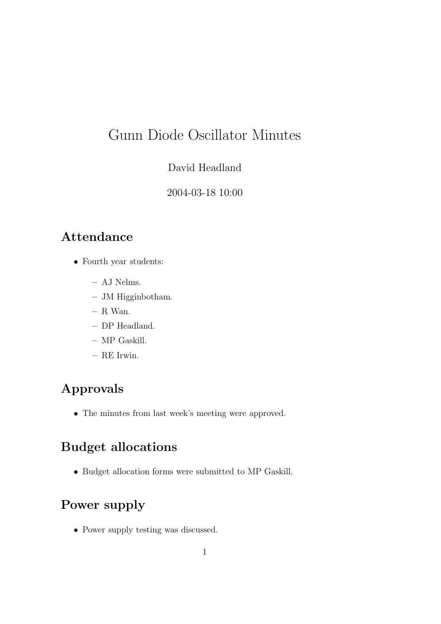# Gunn Diode Oscillator Minutes

#### David Headland

#### 2004-03-18 10:00

### Attendance

- Fourth year students:
	- AJ Nelms.
	- JM Higginbotham.
	- R Wan.
	- DP Headland.
	- MP Gaskill.
	- RE Irwin.

# Approvals

• The minutes from last week's meeting were approved.

### Budget allocations

• Budget allocation forms were submitted to MP Gaskill.

# Power supply

• Power supply testing was discussed.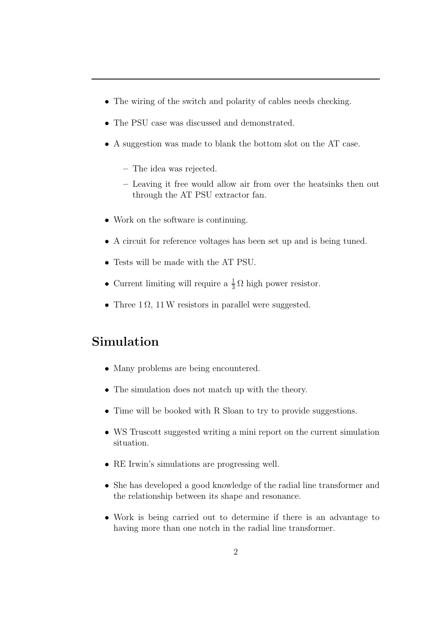- The wiring of the switch and polarity of cables needs checking.
- The PSU case was discussed and demonstrated.
- A suggestion was made to blank the bottom slot on the AT case.
	- The idea was rejected.
	- Leaving it free would allow air from over the heatsinks then out through the AT PSU extractor fan.
- Work on the software is continuing.
- A circuit for reference voltages has been set up and is being tuned.
- Tests will be made with the AT PSU.
- Current limiting will require a  $\frac{1}{3}$  $\frac{1}{3} \Omega$  high power resistor.
- Three  $1 \Omega$ ,  $11 W$  resistors in parallel were suggested.

#### Simulation

- Many problems are being encountered.
- The simulation does not match up with the theory.
- Time will be booked with R Sloan to try to provide suggestions.
- WS Truscott suggested writing a mini report on the current simulation situation.
- RE Irwin's simulations are progressing well.
- She has developed a good knowledge of the radial line transformer and the relationship between its shape and resonance.
- Work is being carried out to determine if there is an advantage to having more than one notch in the radial line transformer.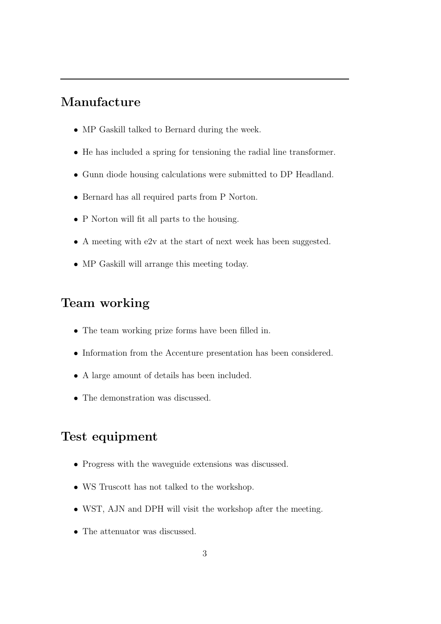### Manufacture

- MP Gaskill talked to Bernard during the week.
- He has included a spring for tensioning the radial line transformer.
- Gunn diode housing calculations were submitted to DP Headland.
- Bernard has all required parts from P Norton.
- P Norton will fit all parts to the housing.
- A meeting with e2v at the start of next week has been suggested.
- MP Gaskill will arrange this meeting today.

#### Team working

- The team working prize forms have been filled in.
- Information from the Accenture presentation has been considered.
- A large amount of details has been included.
- The demonstration was discussed.

#### Test equipment

- Progress with the waveguide extensions was discussed.
- WS Truscott has not talked to the workshop.
- WST, AJN and DPH will visit the workshop after the meeting.
- The attenuator was discussed.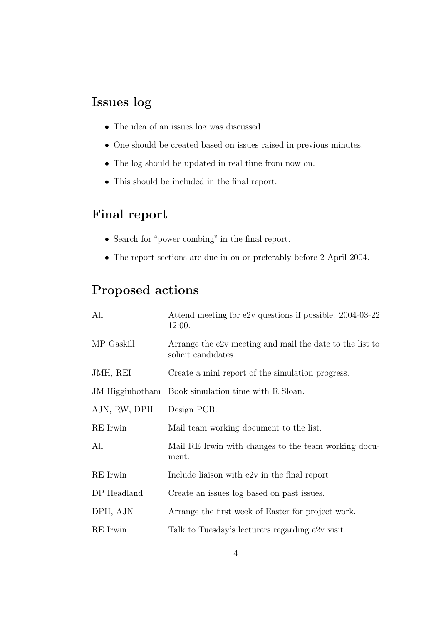### Issues log

- The idea of an issues log was discussed.
- One should be created based on issues raised in previous minutes.
- The log should be updated in real time from now on.
- This should be included in the final report.

### Final report

- Search for "power combing" in the final report.
- The report sections are due in on or preferably before 2 April 2004.

## Proposed actions

| All             | Attend meeting for e2v questions if possible: 2004-03-22<br>12:00.              |
|-----------------|---------------------------------------------------------------------------------|
| MP Gaskill      | Arrange the e2v meeting and mail the date to the list to<br>solicit candidates. |
| JMH, REI        | Create a mini report of the simulation progress.                                |
| JM Higginbotham | Book simulation time with R Sloan.                                              |
| AJN, RW, DPH    | Design PCB.                                                                     |
| RE Irwin        | Mail team working document to the list.                                         |
| All             | Mail RE Irwin with changes to the team working docu-<br>ment.                   |
| RE Irwin        | Include liaison with e2v in the final report.                                   |
| DP Headland     | Create an issues log based on past issues.                                      |
| DPH, AJN        | Arrange the first week of Easter for project work.                              |
| RE Irwin        | Talk to Tuesday's lecturers regarding e2v visit.                                |